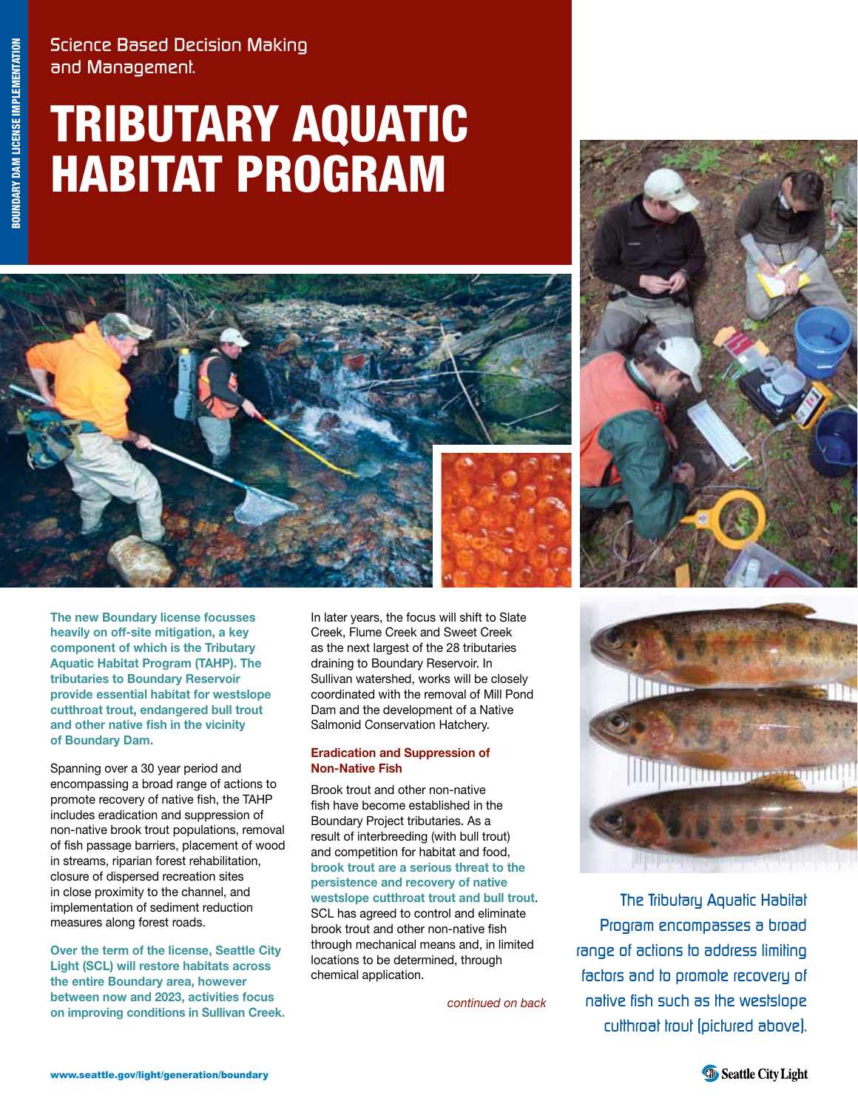Science Based Decision Making and Management.

# Tributary Aquatic Habitat Program





**The new Boundary license focusses heavily on off-site mitigation, a key component of which is the Tributary Aquatic Habitat Program (TAHP). The tributaries to Boundary Reservoir provide essential habitat for westslope cutthroat trout, endangered bull trout and other native fish in the vicinity of Boundary Dam.**

Spanning over a 30 year period and encompassing a broad range of actions to promote recovery of native fish, the TAHP includes eradication and suppression of non-native brook trout populations, removal of fish passage barriers, placement of wood in streams, riparian forest rehabilitation, closure of dispersed recreation sites in close proximity to the channel, and implementation of sediment reduction measures along forest roads.

**Over the term of the license, Seattle City Light (SCL) will restore habitats across the entire Boundary area, however between now and 2023, activities focus on improving conditions in Sullivan Creek.** In later years, the focus will shift to Slate Creek, Flume Creek and Sweet Creek as the next largest of the 28 tributaries draining to Boundary Reservoir. In Sullivan watershed, works will be closely coordinated with the removal of Mill Pond Dam and the development of a Native Salmonid Conservation Hatchery.

#### **Eradication and Suppression of Non-Native Fish**

Brook trout and other non-native fish have become established in the Boundary Project tributaries. As a result of interbreeding (with bull trout) and competition for habitat and food, **brook trout are a serious threat to the persistence and recovery of native westslope cutthroat trout and bull trout**. SCL has agreed to control and eliminate brook trout and other non-native fish

through mechanical means and, in limited locations to be determined, through chemical application.

*continued on back*



The Tributary Aquatic Habitat Program encompasses a broad range of actions to address limiting factors and to promote recovery of native fish such as the westslope cutthroat trout (pictured above).